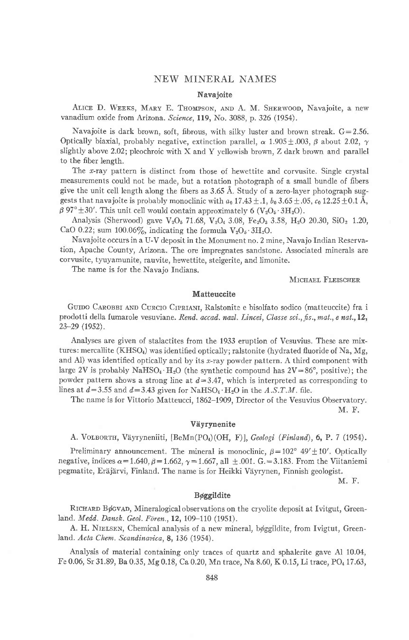# **NEW MINERAL NAMES**

# Navajoite

ALICE D. WEEKS, MARY E. THOMPSON, AND A. M. SHERWOOD, Navajoite, a new vanadium oxide from Arizona. Science, 119, No. 3088, p. 326 (1954).

Navajoite is dark brown, soft, fibrous, with silky luster and brown streak.  $G = 2.56$ . Optically biaxial, probably negative, extinction parallel,  $\alpha$  1.905 ± 0.03,  $\beta$  about 2.02,  $\gamma$ slightly above 2.02; pleochroic with X and Y yellowish brown, Z dark brown and parallel to the fiber length.

The x-ray pattern is distinct from those of hewettite and corvusite. Single crystal measurements could not be made, but a rotation photograph of a small bundle of fibers give the unit cell length along the fibers as 3.65 Å. Study of a zero-layer photograph suggests that navajoite is probably monoclinic with  $a_0$  17.43 ± .1,  $b_0$  3.65 ± .05,  $c_0$  12.25 ± 0.1 Å,  $\beta$  97° ± 30′. This unit cell would contain approximately 6 (V<sub>2</sub>O<sub>5</sub> · 3H<sub>2</sub>O).

Analysis (Sherwood) gave  $V_2O_5$  71.68,  $V_2O_4$  3.08,  $Fe_2O_3$  3.58,  $H_2O$  20.30,  $SiO_2$  1.20, CaO 0.22; sum 100.06%, indicating the formula  $V_2O_5 \cdot 3H_2O$ .

Navajoite occurs in a U-V deposit in the Monument no. 2 mine, Navajo Indian Reservation, Apache County, Arizona. The ore impregnates sandstone. Associated minerals are corvusite, tyuyamunite, rauvite, hewettite, steigerite, and limonite.

The name is for the Navajo Indians.

# MICHAEL FLEISCHER

### Matteuccite

GUIDO CAROBBI AND CURCIO CIPRIANI, Ralstonite e bisolfato sodico (matteuccite) fra i prodotti della fumarole vesuviane. Rend. accad. nazl. Lincei, Classe sci., fis., mat., e nat., 12, 23-29 (1952).

Analyses are given of stalactites from the 1933 eruption of Vesuvius. These are mixtures: mercallite (KHSO<sub>4</sub>) was identified optically; ralstonite (hydrated fluoride of Na, Mg, and Al) was identified optically and by its x-ray powder pattern. A third component with large 2V is probably NaHSO<sub>4</sub> · H<sub>2</sub>O (the synthetic compound has  $2V = 86^\circ$ , positive); the powder pattern shows a strong line at  $d=3.47$ , which is interpreted as corresponding to lines at  $d=3.55$  and  $d=3.43$  given for NaHSO<sub>4</sub>  $\cdot$  H<sub>2</sub>O in the A.S.T.M. file.

The name is for Vittorio Matteucci, 1862-1909, Director of the Vesuvius Observatory. M. F.

#### Väyrynenite

A. VOLBORTH, Väyryneniiti, [BeMn(PO4)(OH, F)], Geologi (Finland), 6, P. 7 (1954).

Preliminary announcement. The mineral is monoclinic,  $\beta = 102^{\circ} 49' \pm 10'$ . Optically negative, indices  $\alpha = 1.640$ ,  $\beta = 1.662$ ,  $\gamma = 1.667$ , all  $\pm .001$ . G. = 3.183. From the Viitaniemi pegmatite, Eräjärvi, Finland. The name is for Heikki Väyrynen, Finnish geologist.

M. F.

## Bøggildite

RICHARD Bøcvan, Mineralogical observations on the cryolite deposit at Ivitgut, Greenland. Medd. Dansk. Geol. Fören., 12, 109-110 (1951).

A. H. NIELSEN, Chemical analysis of a new mineral, bøggildite, from Ivigtut, Greenland. Acta Chem. Scandinavica, 8, 136 (1954).

Analysis of material containing only traces of quartz and sphalerite gave Al 10.04, Fe 0.06, Sr 31.89, Ba 0.35, Mg 0.18, Ca 0.20, Mn trace, Na 8.60, K 0.15, Li trace, PO4 17.63,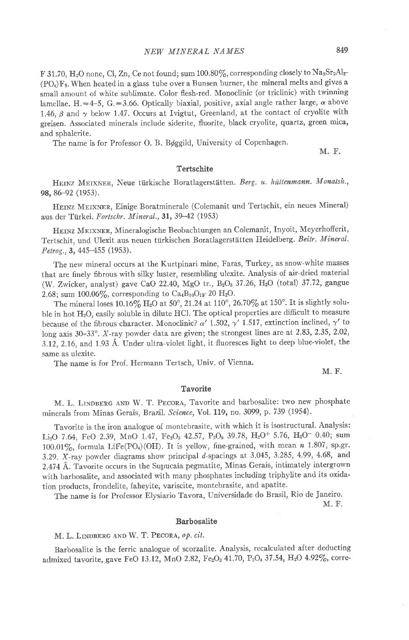F 31.70, H<sub>2</sub>O none, Cl, Zn, Ce not found; sum 100.80%, corresponding closely to Na<sub>2</sub>Sr<sub>2</sub>Al<sub>2</sub>- $(PO<sub>4</sub>)F<sub>9</sub>$ . When heated in a glass tube over a Bunsen burner, the mineral melts and gives a small amount of white sublimate. Color flesh-red. Monoclinic (or triclinic) with twinning lamellae. H.=4-5, G.=3.66. Optically biaxial, positive, axial angle rather large,  $\alpha$  above 1.46,  $\beta$  and  $\gamma$  below 1.47. Occurs at Ivigtut, Greenland, at the contact of cryolite with greisen. Associated minerals include siderite, fluorite, black cryolite, quartz, green mica, and sphalerite.

The name is for Professor O. B. Bøggild, University of Copenhagen.

M. F.

## Tertschite

HEINZ MEIXNER, Neue türkische Boratlagerstätten. Berg. u. hüttenmann. Monatsh., 98, 8G92 (1953).

HEINZ MEIXNER, Einige Boratminerale (Colemanit und Tertschit, ein neues Mineral) aus der Türkei. Fortschr. Mineral., 31, 39-42 (1953)

HEINZ MEIXNER, Mineralogische Beobachtungen an Colemanit, Inyoit, Meyerhofferit, Tertschit, und Ulexit aus neuen türkischen Boratlagerstätten Heidelberg. Beitr. Mineral. Petrog., 3, 445–455 (1953).

The new mineral occurs at the Kurtpinari mine, Faras, Turkey, as snow-white masses that are finely fibrous with silky luster, resembling ulexite. Analysis of air-dried material (W. Zwicker, analyst) gave CaO 22.40, MgO tr.,  $B_2O_3$  37.26,  $H_2O$  (total) 37.72, gangue 2.68; sum 100.06%, corresponding to  $Ca_4B_{10}O_{19}$  20 H<sub>2</sub>O.

The mineral loses 10.16% H<sub>2</sub>O at 50°, 21.24 at 110°, 26.70% at 150°. It is slightly soluble in hot H<sub>2</sub>O, easily soluble in dilute HCl. The optical properties are difficult to measure because of the fibrous character. Monoclinic?  $\alpha'$  1.502,  $\gamma'$  1.517, extinction inclined,  $\gamma'$  to long axis 30-33°. X-ray powder data are given; the strongest lines are at 2.83, 2.35, 2.02, 3.12, 2.16, and 1.93 Å. Under ultra-violet light, it fluoresces light to deep blue-violet, the same as ulexite.

The name is for Prof. Hermann Tertsch, Univ. of Vienna.

M. F.

# **Tavorite**

M. L. LINDBERG AND W. T. PECORA, Tavorite and barbosalite: two new phosphate minerals from Minas Gerais, Brazil. Science, Vol. 119, no. 3099, p. 739 (1954).

Tavorite is the iron analogue of montebrasite, with which it is isostructural. Analysis: Li<sub>2</sub>O 7.64, FeO 2.39, MnO 1.47, Fe<sub>2</sub>O<sub>3</sub> 42.57, P<sub>2</sub>O<sub>5</sub> 39.78, H<sub>2</sub>O<sup>+</sup> 5.76, H<sub>2</sub>O<sup>-</sup> 0.40; sum 100.01%, formula LiFe(PO<sub>4</sub>)(OH). It is yellow, fine-grained, with mean  $n$  1.807, sp.gr. 3.29. X-ray powder diagrams show principal  $d$ -spacings at 3.045, 3.285, 4.99, 4.68, and 2.474 Å. Tavorite occurs in the Supucaia pegmatite, Minas Gerais, intimately intergrown with barbosalite, and associated with many phosphates including triphylite and its oxidation products, frondelite, faheyite, variscite, montebrasite, and apatite.

The name is for Professor Elysiario Tavora, universidade do Brasil, Rio de Janeiro.

M. F.

#### Barbosalite

M. L. LINDBERG AND W. T. PECORA, op. cit.

Barbosalite is the ferric analogue of scorzalite. Analysis, recalculated after deducting admixed tavorite, gave FeO 13.12, MnO 2.82, Fe<sub>2</sub>O<sub>3</sub> 41.70, P<sub>2</sub>O<sub>5</sub> 37.54, H<sub>2</sub>O 4.92%, corre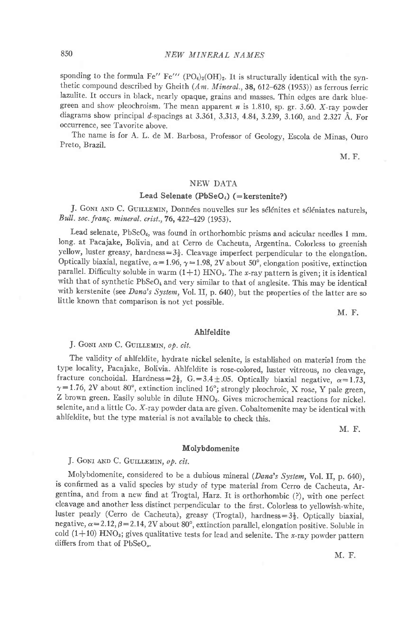sponding to the formula Fe" Fe"'  $(PO_4)_2(OH)_2$ . It is structurally identical with the synthetic compound described by Gheith  $(Am.$  Mineral., 38, 612-628 (1953)) as ferrous ferric lazulite. It occurs in black, nearly opaque, grains and masses. Thin edges are dark bluegreen and show pleochroism. The mean apparent  $n$  is 1.810, sp. gr. 3.60. X-ray powder diagrams show principal d-spacings at 3.361, 3.313, 4.84, 3.239, 3.160, and 2.327 Å. For occurrence, see Tavorite above.

The name is for A. L. de M. Barbosa, Professor of Geology, Escola de Minas, Ouro Preto, Brazil.

M. F.

# NEW DATA

## Lead Selenate ( $PbSeO<sub>4</sub>$ ) (=kerstenite?)

J. GONI AND C. GUILLEMIN, Données nouvelles sur les sélénites et séléniates naturels, Bull. soc. franç. mineral. crist., 76, 422-429 (1953).

Lead selenate, PbSeO<sub>4</sub>, was found in orthorhombic prisms and acicular needles 1 mm. long. at Pacajake, Bolivia, and at Cerro de Cacheuta, Argentina. Colorless to greenish yellow, luster greasy, hardness= $3\frac{1}{2}$ . Cleavage imperfect perpendicular to the elongation. Optically biaxial, negative,  $\alpha$  = 1.96,  $\gamma$  = 1.98, 2V about 50°, elongation positive, extinction parallel. Difficulty soluble in warm  $(1+1)$  HNO<sub>3</sub>. The x-ray pattern is given; it is identical with that of synthetic  $PbSeO<sub>4</sub>$  and very similar to that of anglesite. This may be identical with kerstenite (see Dana's System, Vol. II, p. 640), but the properties of the latter are so little known that comparison is not yet possible.

M, F.

#### Ahlfeldite

J. GONI AND C. GUILLEMIN, op. cit.

The validity of ahlfeldite, hydrate nickel selenite, is establjshed on material from the type locality, Pacajake, Bolivia. Ahlfeldite is rose-colored, luster vitreous, no cleavage, fracture conchoidal. Hardness= $2\frac{1}{2}$ , G.=3.4 ±.05. Optically biaxial negative,  $\alpha=1.73$ ,  $\gamma=1.76$ , 2V about 80°, extinction inclined 16°; strongly pieochroic, X rose, Y pale green, Z brown green. Easily soluble in dilute HNO3. Gives microchemical reactions for nickel. selenite, and a little Co. X-ray powder data are given. Cobaltomenite may be identical with ahlfeldite, but the type material is not available to check this.

M. F.

## Molybdomenite

# J. GONI AND C. GUILLEMIN, op. cit.

Molybdomenite, considered to be a dubious mineral (Dana's System, Vol. II, p. 640), is confirmed as a valid species by study of type material from cerro de cacheuta, Argentina, and from a new find at Trogtal, Harz. It is orthorhombic (?), with one perfect cleavage and another less distinct perpendicular to the first. Colorless to yellowish-white, luster pearly (Cerro de Cacheuta), greasy (Trogtal), hardness= $3\frac{1}{2}$ . Optically biaxial, negative,  $\alpha=2.12$ ,  $\beta=2.14$ , 2V about 80°, extinction parallel, elongation positive. Soluble in cold  $(1+10)$  HNO<sub>3</sub>; gives qualitative tests for lead and selenite. The *x*-ray powder pattern differs from that of PbSeO<sub>0</sub>.

M. F.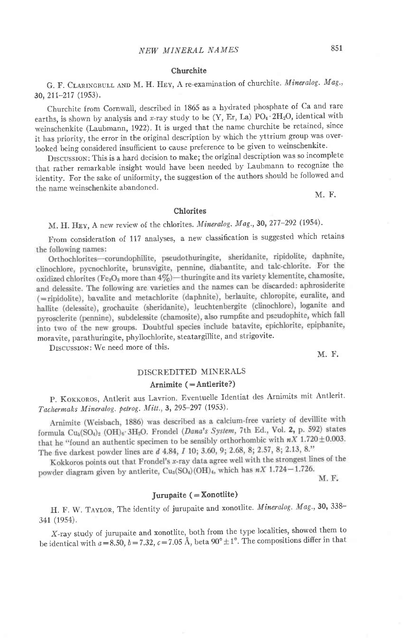#### Churchite

G. F. CLARINGBULL AND M. H. HEY, A re-examination of churchite. Mineralog. Mag., 30, 211-217 (1953).

Churchite from Cornwail, described in 1865 as a hydrated phosphate of Ca and rare earths, is shown by analysis and x-ray study to be  $(Y, Er, La)$  PO<sub>4</sub> $\cdot$ 2H<sub>2</sub>O, identical with weinschenkite (Laubmann, 1922). It is urged that the name churchite be retained, since it has priority, the error in the originai description by which the yttrium group was overlooked being considered insufficient to cause preference to be given to weinschenkite.

Drscussron: This is a hard decision to make; the original description was so incomplete that rather remarkable insigbt would have been needed by Laubmann to recognize the identity. For tbe sake of uniformity, the suggestion of the authors should be followed and the name weinschenkite abandoned.

M. F.

#### Chlorites

# M. H. HEY, A new review of the chlorites. Mineralog. Mag., 30, 277-292 (1954).

From consideration of 117 analyses, a new classification is suggested which retains the following names:

Orthochlorites-corundophilite, pseudothuringite, sheridanite, ripidolite, daphnite, clinochlore, pycnochlorite, brunsvigite, pennine, diabantite, and talc-chlorite. For the oxidized chlorites (Fe<sub>2</sub>O<sub>3</sub> more than  $4\%$ )—thuringite and its variety klementite, chamosite, and delessite. The following are varieties and the names can be discarded: aphrosiderite (=ripidolite), bavalite and metachlorite (daphnite), berlauite, chloropite, euralite, and hallite (delessite), grochauite (sheridanite), leuchtenbergite (clinochlore), loganite and pyrosclerite (pennine), subdelessite (chamosite), also rumpfite and pseudophite, which fall into two of the new groups. Doubtful species include batavite, epichlorite, epiphanite, moravite, parathuringite, phyllochlorite, steatargillite, and strigovite.

DISCUSSION: We need more of this.

M. F.

# DISCREDITED MINERALS

#### Arnimite  $( = Antlerite?)$

P. KOKKOROS, Antlerit aus Lavrion. Eventuelle Identiat des Arnimits mit Antlerit. Tachermaks Mineralog. petrog. Mitt., 3, 295-297 (1953).

Arnimite (Weisbach, 1886) was described as a calcium-free variety of devillite with formula  $Cu_3(SO_4)_2$  (OH) $_6$ · 3H<sub>2</sub>O. Frondel (*Dana's System*, 7th Ed., Vol. 2, p. 592) states that he "found an authentic specimen to be sensibly orthorhombic with  $nX$  1.720  $\pm$ 0.003. The five darkest powder lines are  $d$  4.84,  $I$  10; 3.60, 9; 2.68, 8; 2.57, 8; 2.13, 8."

Kokkoros points out that Frondel's x-ray data agree well with the strongest lines of the powder diagram given by antierite,  $Cu_3(SO_4)(OH)_4$ , which has  $nX$  1.724-1.726.

M. F.

# Jurupaite  $( =$  Xonotlite)

H. F. W. TAYLOR, The identity of jurupaite and xonotlite. Mineralog. Mag., 30, 338-341 (1954).

X-ray study of jurupaite and xonotlite, both from the type localities, showed them to be identical with  $a = 8.50$ ,  $b = 7.32$ ,  $c = 7.05$  Å, beta 90°  $\pm 1$ °. The compositions differ in that